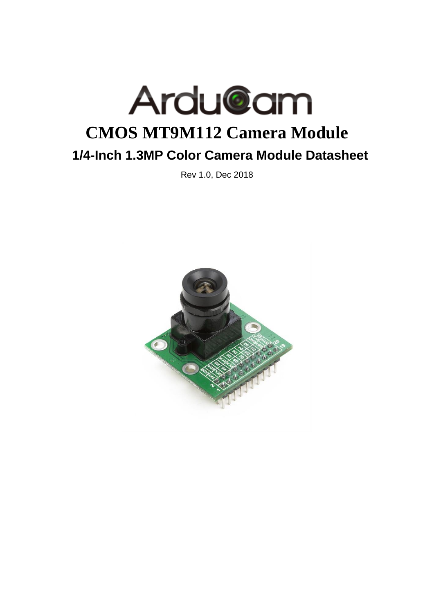

Rev 1.0, Dec 2018

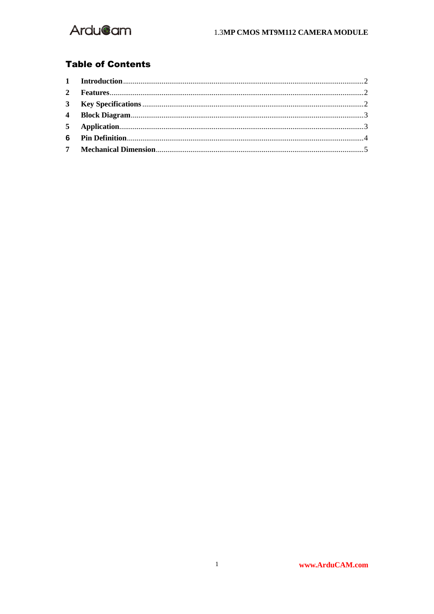

#### **Table of Contents**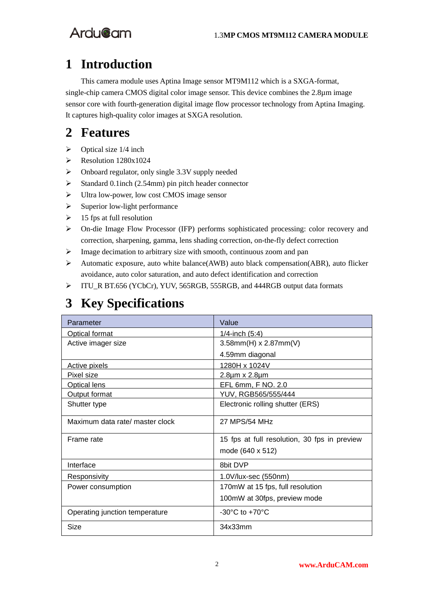### <span id="page-2-0"></span>**1 Introduction**

This camera module uses Aptina Image sensor MT9M112 which is a SXGA-format, single-chip camera CMOS digital color image sensor. This device combines the 2.8  $\mu$ m image sensor core with fourth-generation digital image flow processor technology from Aptina Imaging. It captures high-quality color images at SXGA resolution.

#### <span id="page-2-1"></span>**2 Features**

- $\triangleright$  Optical size 1/4 inch
- $\triangleright$  Resolution 1280x1024
- Onboard regulator, only single 3.3V supply needed
- $\triangleright$  Standard 0.1inch (2.54mm) pin pitch header connector
- > Ultra low-power, low cost CMOS image sensor
- $\triangleright$  Superior low-light performance
- $\geq 15$  fps at full resolution
- $\triangleright$  On-die Image Flow Processor (IFP) performs sophisticated processing: color recovery and correction, sharpening, gamma, lens shading correction, on-the-fly defect correction
- $\triangleright$  Image decimation to arbitrary size with smooth, continuous zoom and pan
- Automatic exposure, auto white balance(AWB) auto black compensation(ABR), auto flicker avoidance, auto color saturation, and auto defect identification and correction
- ITU\_R BT.656 (YCbCr), YUV, 565RGB, 555RGB, and 444RGB output data formats

## <span id="page-2-2"></span>**3 Key Specifications**

| Parameter                       | Value                                        |
|---------------------------------|----------------------------------------------|
| <b>Optical format</b>           | <u>1/4-inch (5:4)</u>                        |
| Active imager size              | 3.58mm(H) x 2.87mm(V)                        |
|                                 | 4.59mm diagonal                              |
| Active pixels                   | 1280H x 1024V                                |
| Pixel size                      | 2.8um x 2.8um                                |
| <b>Optical lens</b>             | EFL 6mm, F NO. 2.0                           |
| Output format                   | YUV, RGB565/555/444                          |
| Shutter type                    | Electronic rolling shutter (ERS)             |
| Maximum data rate/ master clock | 27 MPS/54 MHz                                |
| Frame rate                      | 15 fps at full resolution, 30 fps in preview |
|                                 | mode (640 x 512)                             |
| Interface                       | 8bit DVP                                     |
| Responsivity                    | 1.0V/lux-sec (550nm)                         |
| Power consumption               | 170mW at 15 fps, full resolution             |
|                                 | 100mW at 30fps, preview mode                 |
| Operating junction temperature  | $-30^{\circ}$ C to $+70^{\circ}$ C           |
| Size                            | 34x33mm                                      |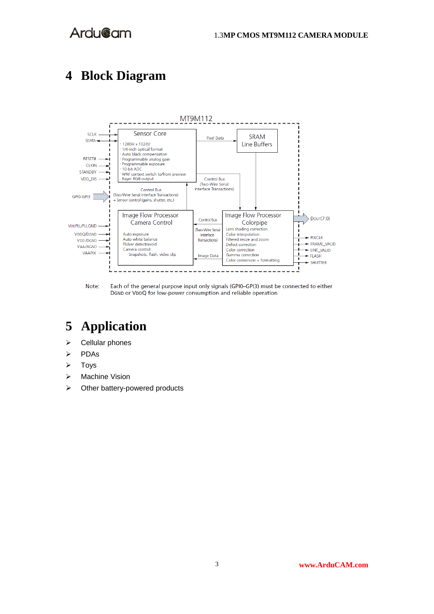### <span id="page-3-0"></span>**4 Block Diagram**



Note: Each of the general purpose input only signals (GPI0-GPI3) must be connected to either DGND or VDDQ for low-power consumption and reliable operation

# <span id="page-3-1"></span>**5 Application**

- $\triangleright$  Cellular phones
- PDAs
- $\triangleright$  Toys
- > Machine Vision
- $\triangleright$  Other battery-powered products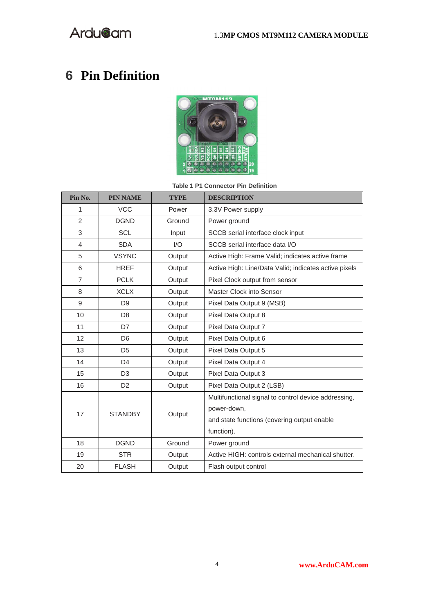# <span id="page-4-0"></span>**Pin Definition**



**Table 1 P1 Connector Pin Definition**

| Pin No.        | <b>PIN NAME</b>                | <b>TYPE</b> | <b>DESCRIPTION</b>                                    |
|----------------|--------------------------------|-------------|-------------------------------------------------------|
| 1              | <b>VCC</b>                     | Power       | 3.3V Power supply                                     |
| $\overline{2}$ | <b>DGND</b>                    | Ground      | Power ground                                          |
| 3              | <b>SCL</b>                     | Input       | SCCB serial interface clock input                     |
| 4              | <b>SDA</b>                     | I/O         | SCCB serial interface data I/O                        |
| 5              | <b>VSYNC</b>                   | Output      | Active High: Frame Valid; indicates active frame      |
| 6              | <b>HREF</b>                    | Output      | Active High: Line/Data Valid; indicates active pixels |
| $\overline{7}$ | <b>PCLK</b>                    | Output      | Pixel Clock output from sensor                        |
| 8              | <b>XCLX</b>                    | Output      | Master Clock into Sensor                              |
| 9              | D <sub>9</sub>                 | Output      | Pixel Data Output 9 (MSB)                             |
| 10             | D <sub>8</sub>                 | Output      | Pixel Data Output 8                                   |
| 11             | D7                             | Output      | Pixel Data Output 7                                   |
| 12             | D <sub>6</sub>                 | Output      | Pixel Data Output 6                                   |
| 13             | D <sub>5</sub>                 | Output      | Pixel Data Output 5                                   |
| 14             | D <sub>4</sub>                 | Output      | Pixel Data Output 4                                   |
| 15             | D <sub>3</sub>                 | Output      | Pixel Data Output 3                                   |
| 16             | D <sub>2</sub>                 | Output      | Pixel Data Output 2 (LSB)                             |
|                | 17<br><b>STANDBY</b><br>Output |             | Multifunctional signal to control device addressing,  |
|                |                                |             | power-down,                                           |
|                |                                |             | and state functions (covering output enable           |
|                |                                |             | function).                                            |
| 18             | <b>DGND</b>                    | Ground      | Power ground                                          |
| 19             | <b>STR</b>                     | Output      | Active HIGH: controls external mechanical shutter.    |
| 20             | <b>FLASH</b>                   | Output      | Flash output control                                  |